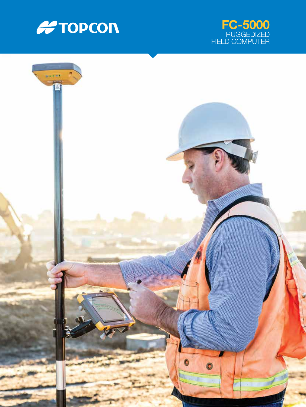



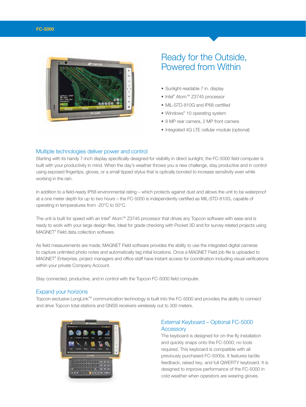

# Ready for the Outside, Powered from Within

- Sunlight-readable 7 in. display
- Intel® Atom™ Z3745 processor
- MIL-STD-810G and IP68 certified
- Windows® 10 operating system
- 8 MP rear camera, 2 MP front camera
- Integrated 4G LTE cellular module (optional)

#### Multiple technologies deliver power and control

Starting with its handy 7-inch display specifically designed for visibility in direct sunlight, the FC-5000 field computer is built with your productivity in mind. When the day's weather throws you a new challenge, stay productive and in control using exposed fingertips, gloves, or a small tipped stylus that is optically bonded to increase sensitivity even while working in the rain.

In addition to a field-ready IP68 environmental rating – which protects against dust and allows the unit to be waterproof at a one meter depth for up to two hours – the FC-5000 is independently certified as MIL-STD-810G, capable of operating in temperatures from -20°C to 50°C.

The unit is built for speed with an Intel® Atom™ Z3745 processor that drives any Topcon software with ease and is ready to work with your large design files. Ideal for grade checking with Pocket 3D and for survey related projects using MAGNET® Field data collection software.

As field measurements are made, MAGNET Field software provides the ability to use the integrated digital cameras to capture unlimited photo notes and automatically tag initial locations. Once a MAGNET Field job file is uploaded to MAGNET® Enterprise, project managers and office staff have instant access for coordination including visual verifications within your private Company Account.

Stay connected, productive, and in control with the Topcon FC-5000 field computer.

#### Expand your horizons

Topcon exclusive LongLink™ communication technology is built into the FC-5000 and provides the ability to connect and drive Topcon total stations and GNSS receivers wirelessly out to 300 meters.



# External Keyboard – Optional FC-5000 **Accessory**

The keyboard is designed for on-the-fly installation and quickly snaps onto the FC-5000; no tools required. This keyboard is compatible with all previously purchased FC-5000s. It features tactile feedback, raised key, and full QWERTY keyboard. It is designed to improve performance of the FC-5000 in cold weather when operators are wearing gloves.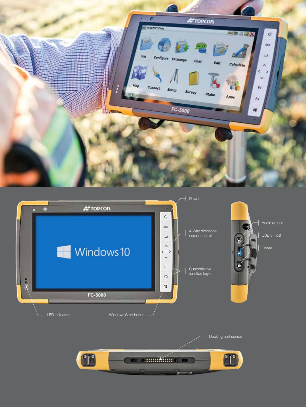